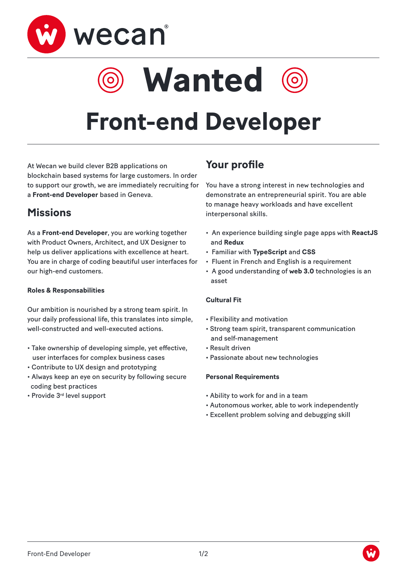

**Wanted**

# **Front-end Developer**

At Wecan we build clever B2B applications on blockchain based systems for large customers. In order to support our growth, we are immediately recruiting for a **Front-end Developer** based in Geneva.

### **Missions**

As a **Front-end Developer**, you are working together with Product Owners, Architect, and UX Designer to help us deliver applications with excellence at heart. You are in charge of coding beautiful user interfaces for our high-end customers.

#### **Roles & Responsabilities**

Our ambition is nourished by a strong team spirit. In your daily professional life, this translates into simple, well-constructed and well-executed actions.

- Take ownership of developing simple, yet effective, user interfaces for complex business cases
- Contribute to UX design and prototyping
- Always keep an eye on security by following secure coding best practices
- Provide 3rd level support

## **Your profile**

You have a strong interest in new technologies and demonstrate an entrepreneurial spirit. You are able to manage heavy workloads and have excellent interpersonal skills.

- An experience building single page apps with **ReactJS** and **Redux**
- Familiar with **TypeScript** and **CSS**
- Fluent in French and English is a requirement
- A good understanding of **web 3.0** technologies is an asset

#### **Cultural Fit**

- Flexibility and motivation
- Strong team spirit, transparent communication and self-management
- Result driven
- Passionate about new technologies

#### **Personal Requirements**

- Ability to work for and in a team
- Autonomous worker, able to work independently
- Excellent problem solving and debugging skill